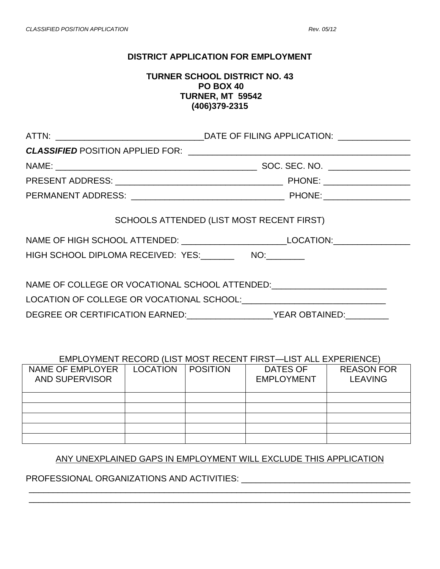### **DISTRICT APPLICATION FOR EMPLOYMENT**

### **TURNER SCHOOL DISTRICT NO. 43 PO BOX 40 TURNER, MT 59542 (406)379-2315**

|                                                          | SCHOOLS ATTENDED (LIST MOST RECENT FIRST)<br>NAME OF HIGH SCHOOL ATTENDED: ______________________________LOCATION:____________                                                                         |  |  |
|----------------------------------------------------------|--------------------------------------------------------------------------------------------------------------------------------------------------------------------------------------------------------|--|--|
| HIGH SCHOOL DIPLOMA RECEIVED: YES:__________ NO:________ |                                                                                                                                                                                                        |  |  |
|                                                          | NAME OF COLLEGE OR VOCATIONAL SCHOOL ATTENDED: _________________________________<br>LOCATION OF COLLEGE OR VOCATIONAL SCHOOL: COLLECTED AND THE RESERVE TO A LOCATION OF COLLEGE OR VOCATIONAL SCHOOL: |  |  |
|                                                          |                                                                                                                                                                                                        |  |  |

#### EMPLOYMENT RECORD (LIST MOST RECENT FIRST—LIST ALL EXPERIENCE)

| NAME OF EMPLOYER<br>AND SUPERVISOR | <b>LOCATION</b> | <b>POSITION</b> | <b>DATES OF</b><br><b>EMPLOYMENT</b> | <b>REASON FOR</b><br><b>LEAVING</b> |
|------------------------------------|-----------------|-----------------|--------------------------------------|-------------------------------------|
|                                    |                 |                 |                                      |                                     |
|                                    |                 |                 |                                      |                                     |
|                                    |                 |                 |                                      |                                     |
|                                    |                 |                 |                                      |                                     |
|                                    |                 |                 |                                      |                                     |

# ANY UNEXPLAINED GAPS IN EMPLOYMENT WILL EXCLUDE THIS APPLICATION

\_\_\_\_\_\_\_\_\_\_\_\_\_\_\_\_\_\_\_\_\_\_\_\_\_\_\_\_\_\_\_\_\_\_\_\_\_\_\_\_\_\_\_\_\_\_\_\_\_\_\_\_\_\_\_\_\_\_\_\_\_\_\_\_\_\_\_\_\_\_\_\_\_\_\_\_\_\_\_

# PROFESSIONAL ORGANIZATIONS AND ACTIVITIES: \_\_\_\_\_\_\_\_\_\_\_\_\_\_\_\_\_\_\_\_\_\_\_\_\_\_\_\_\_\_\_\_\_\_\_